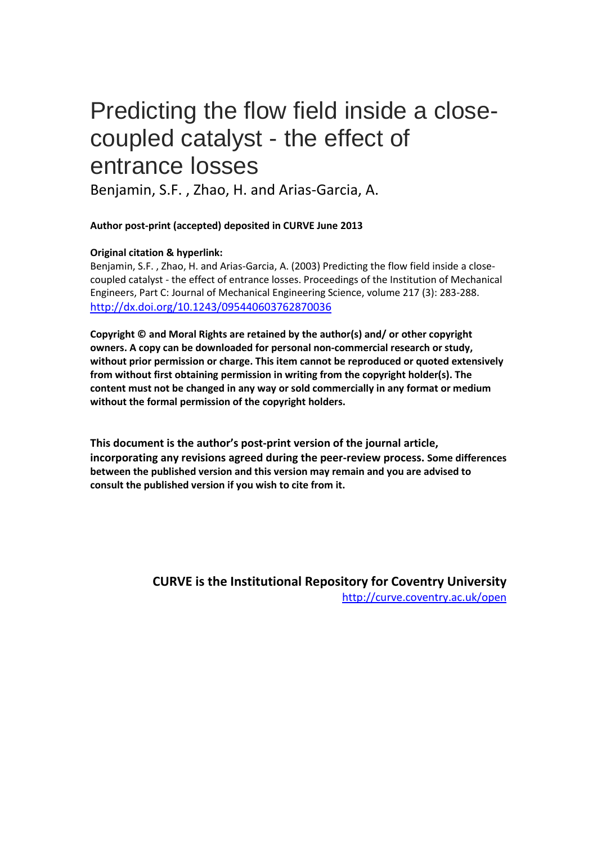# Predicting the flow field inside a closecoupled catalyst - the effect of entrance losses

Benjamin, S.F. , Zhao, H. and Arias-Garcia, A.

## **Author post-print (accepted) deposited in CURVE June 2013**

## **Original citation & hyperlink:**

Benjamin, S.F. , Zhao, H. and Arias-Garcia, A. (2003) Predicting the flow field inside a closecoupled catalyst - the effect of entrance losses. Proceedings of the Institution of Mechanical Engineers, Part C: Journal of Mechanical Engineering Science, volume 217 (3): 283-288. <http://dx.doi.org/10.1243/095440603762870036>

**Copyright © and Moral Rights are retained by the author(s) and/ or other copyright owners. A copy can be downloaded for personal non-commercial research or study, without prior permission or charge. This item cannot be reproduced or quoted extensively from without first obtaining permission in writing from the copyright holder(s). The content must not be changed in any way or sold commercially in any format or medium without the formal permission of the copyright holders.** 

**This document is the author's post-print version of the journal article, incorporating any revisions agreed during the peer-review process. Some differences between the published version and this version may remain and you are advised to consult the published version if you wish to cite from it.** 

> **CURVE is the Institutional Repository for Coventry University** <http://curve.coventry.ac.uk/open>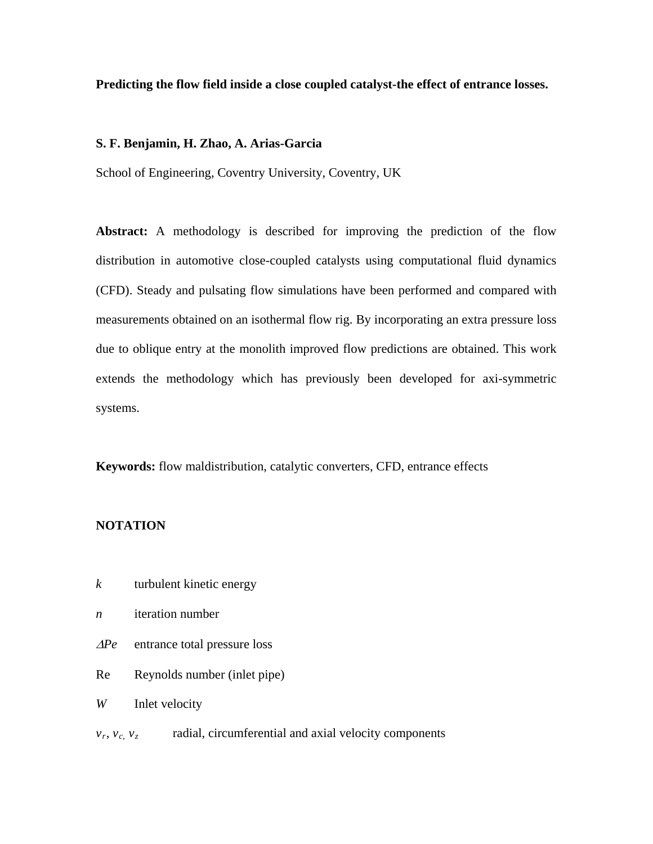## **Predicting the flow field inside a close coupled catalyst-the effect of entrance losses.**

## **S. F. Benjamin, H. Zhao, A. Arias-Garcia**

School of Engineering, Coventry University, Coventry, UK

**Abstract:** A methodology is described for improving the prediction of the flow distribution in automotive close-coupled catalysts using computational fluid dynamics (CFD). Steady and pulsating flow simulations have been performed and compared with measurements obtained on an isothermal flow rig. By incorporating an extra pressure loss due to oblique entry at the monolith improved flow predictions are obtained. This work extends the methodology which has previously been developed for axi-symmetric systems.

**Keywords:** flow maldistribution, catalytic converters, CFD, entrance effects

## **NOTATION**

- *k* turbulent kinetic energy
- *n* iteration number
- <sup>∆</sup>*Pe* entrance total pressure loss
- Re Reynolds number (inlet pipe)

*W* Inlet velocity

 $v_r$ ,  $v_c$ ,  $v_z$  radial, circumferential and axial velocity components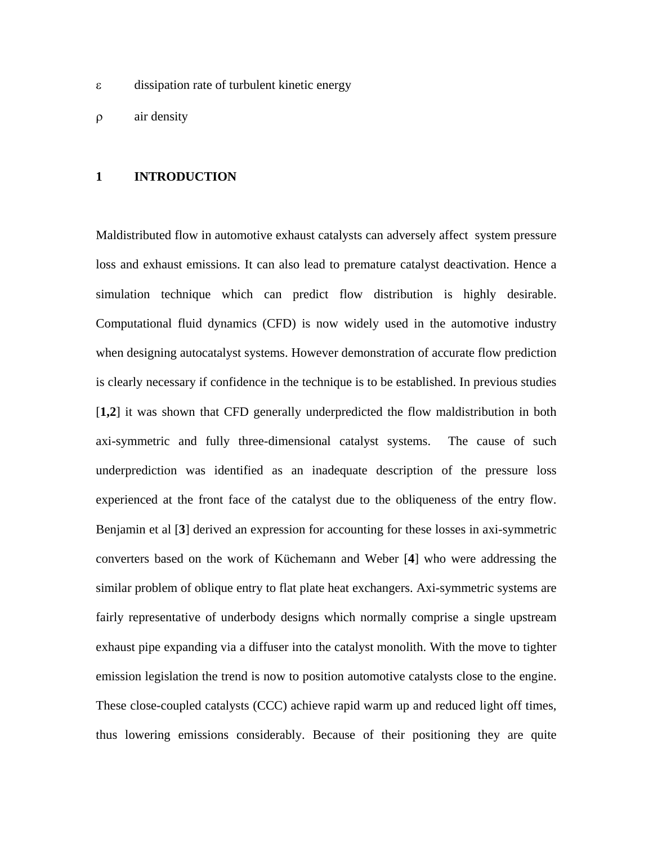- ε dissipation rate of turbulent kinetic energy
- ρ air density

## **1 INTRODUCTION**

Maldistributed flow in automotive exhaust catalysts can adversely affect system pressure loss and exhaust emissions. It can also lead to premature catalyst deactivation. Hence a simulation technique which can predict flow distribution is highly desirable. Computational fluid dynamics (CFD) is now widely used in the automotive industry when designing autocatalyst systems. However demonstration of accurate flow prediction is clearly necessary if confidence in the technique is to be established. In previous studies [**1,2**] it was shown that CFD generally underpredicted the flow maldistribution in both axi-symmetric and fully three-dimensional catalyst systems. The cause of such underprediction was identified as an inadequate description of the pressure loss experienced at the front face of the catalyst due to the obliqueness of the entry flow. Benjamin et al [**3**] derived an expression for accounting for these losses in axi-symmetric converters based on the work of Küchemann and Weber [**4**] who were addressing the similar problem of oblique entry to flat plate heat exchangers. Axi-symmetric systems are fairly representative of underbody designs which normally comprise a single upstream exhaust pipe expanding via a diffuser into the catalyst monolith. With the move to tighter emission legislation the trend is now to position automotive catalysts close to the engine. These close-coupled catalysts (CCC) achieve rapid warm up and reduced light off times, thus lowering emissions considerably. Because of their positioning they are quite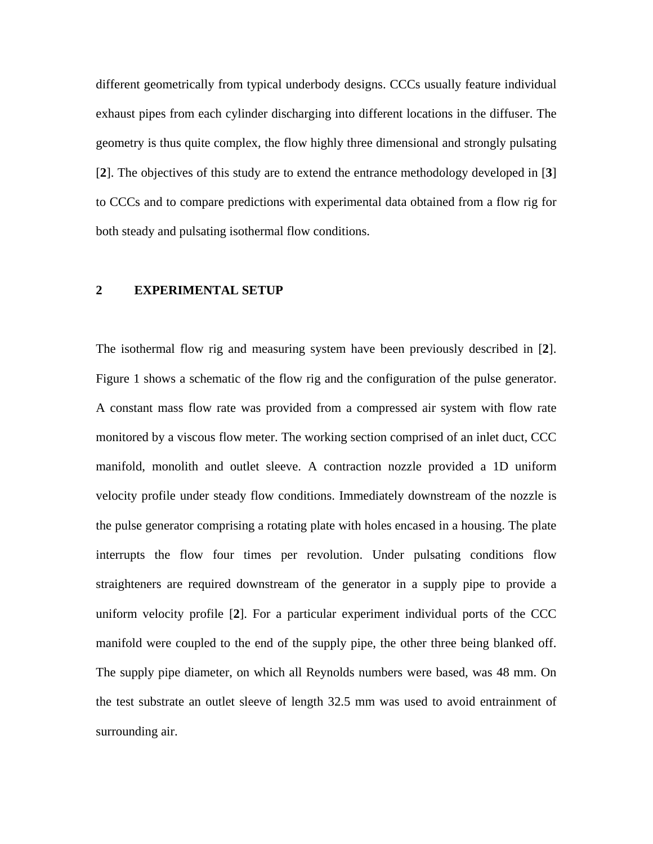different geometrically from typical underbody designs. CCCs usually feature individual exhaust pipes from each cylinder discharging into different locations in the diffuser. The geometry is thus quite complex, the flow highly three dimensional and strongly pulsating [**2**]. The objectives of this study are to extend the entrance methodology developed in [**3**] to CCCs and to compare predictions with experimental data obtained from a flow rig for both steady and pulsating isothermal flow conditions.

## **2 EXPERIMENTAL SETUP**

The isothermal flow rig and measuring system have been previously described in [**2**]. Figure 1 shows a schematic of the flow rig and the configuration of the pulse generator. A constant mass flow rate was provided from a compressed air system with flow rate monitored by a viscous flow meter. The working section comprised of an inlet duct, CCC manifold, monolith and outlet sleeve. A contraction nozzle provided a 1D uniform velocity profile under steady flow conditions. Immediately downstream of the nozzle is the pulse generator comprising a rotating plate with holes encased in a housing. The plate interrupts the flow four times per revolution. Under pulsating conditions flow straighteners are required downstream of the generator in a supply pipe to provide a uniform velocity profile [**2**]. For a particular experiment individual ports of the CCC manifold were coupled to the end of the supply pipe, the other three being blanked off. The supply pipe diameter, on which all Reynolds numbers were based, was 48 mm. On the test substrate an outlet sleeve of length 32.5 mm was used to avoid entrainment of surrounding air.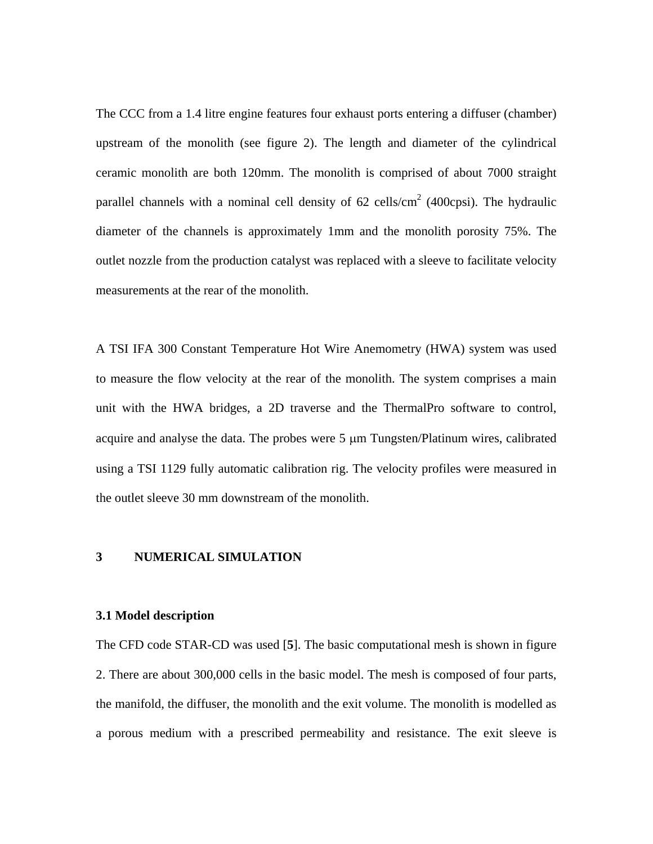The CCC from a 1.4 litre engine features four exhaust ports entering a diffuser (chamber) upstream of the monolith (see figure 2). The length and diameter of the cylindrical ceramic monolith are both 120mm. The monolith is comprised of about 7000 straight parallel channels with a nominal cell density of  $62$  cells/cm<sup>2</sup> (400cpsi). The hydraulic diameter of the channels is approximately 1mm and the monolith porosity 75%. The outlet nozzle from the production catalyst was replaced with a sleeve to facilitate velocity measurements at the rear of the monolith.

A TSI IFA 300 Constant Temperature Hot Wire Anemometry (HWA) system was used to measure the flow velocity at the rear of the monolith. The system comprises a main unit with the HWA bridges, a 2D traverse and the ThermalPro software to control, acquire and analyse the data. The probes were 5 µm Tungsten/Platinum wires, calibrated using a TSI 1129 fully automatic calibration rig. The velocity profiles were measured in the outlet sleeve 30 mm downstream of the monolith.

## **3 NUMERICAL SIMULATION**

#### **3.1 Model description**

The CFD code STAR-CD was used [**5**]. The basic computational mesh is shown in figure 2. There are about 300,000 cells in the basic model. The mesh is composed of four parts, the manifold, the diffuser, the monolith and the exit volume. The monolith is modelled as a porous medium with a prescribed permeability and resistance. The exit sleeve is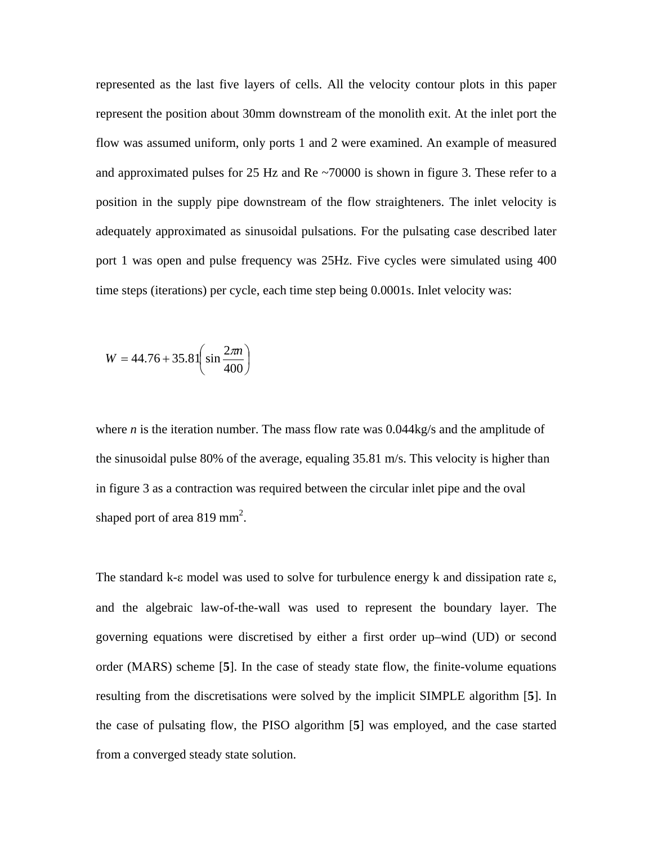represented as the last five layers of cells. All the velocity contour plots in this paper represent the position about 30mm downstream of the monolith exit. At the inlet port the flow was assumed uniform, only ports 1 and 2 were examined. An example of measured and approximated pulses for 25 Hz and Re ~70000 is shown in figure 3. These refer to a position in the supply pipe downstream of the flow straighteners. The inlet velocity is adequately approximated as sinusoidal pulsations. For the pulsating case described later port 1 was open and pulse frequency was 25Hz. Five cycles were simulated using 400 time steps (iterations) per cycle, each time step being 0.0001s. Inlet velocity was:

$$
W = 44.76 + 35.81 \left( \sin \frac{2\pi n}{400} \right)
$$

where *n* is the iteration number. The mass flow rate was  $0.044kg/s$  and the amplitude of the sinusoidal pulse 80% of the average, equaling 35.81 m/s. This velocity is higher than in figure 3 as a contraction was required between the circular inlet pipe and the oval shaped port of area 819 mm<sup>2</sup>.

The standard k-ε model was used to solve for turbulence energy k and dissipation rate ε, and the algebraic law-of-the-wall was used to represent the boundary layer. The governing equations were discretised by either a first order up–wind (UD) or second order (MARS) scheme [**5**]. In the case of steady state flow, the finite-volume equations resulting from the discretisations were solved by the implicit SIMPLE algorithm [**5**]. In the case of pulsating flow, the PISO algorithm [**5**] was employed, and the case started from a converged steady state solution.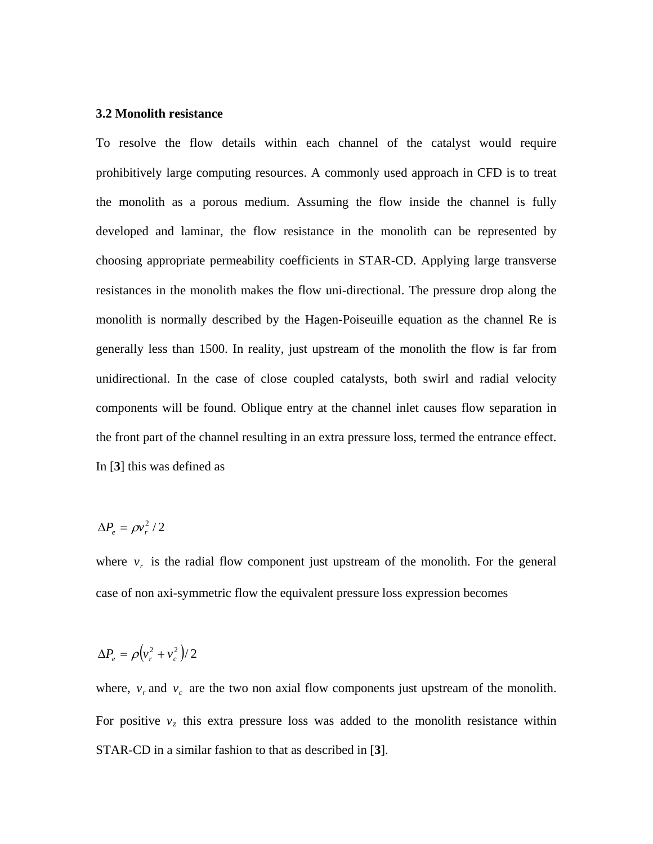#### **3.2 Monolith resistance**

To resolve the flow details within each channel of the catalyst would require prohibitively large computing resources. A commonly used approach in CFD is to treat the monolith as a porous medium. Assuming the flow inside the channel is fully developed and laminar, the flow resistance in the monolith can be represented by choosing appropriate permeability coefficients in STAR-CD. Applying large transverse resistances in the monolith makes the flow uni-directional. The pressure drop along the monolith is normally described by the Hagen-Poiseuille equation as the channel Re is generally less than 1500. In reality, just upstream of the monolith the flow is far from unidirectional. In the case of close coupled catalysts, both swirl and radial velocity components will be found. Oblique entry at the channel inlet causes flow separation in the front part of the channel resulting in an extra pressure loss, termed the entrance effect. In [**3**] this was defined as

$$
\Delta P_e = \rho v_r^2 / 2
$$

where  $v_r$  is the radial flow component just upstream of the monolith. For the general case of non axi-symmetric flow the equivalent pressure loss expression becomes

$$
\Delta P_e = \rho \left(v_r^2 + v_c^2\right)/2
$$

where,  $v_r$  and  $v_c$  are the two non axial flow components just upstream of the monolith. For positive  $v<sub>z</sub>$  this extra pressure loss was added to the monolith resistance within STAR-CD in a similar fashion to that as described in [**3**].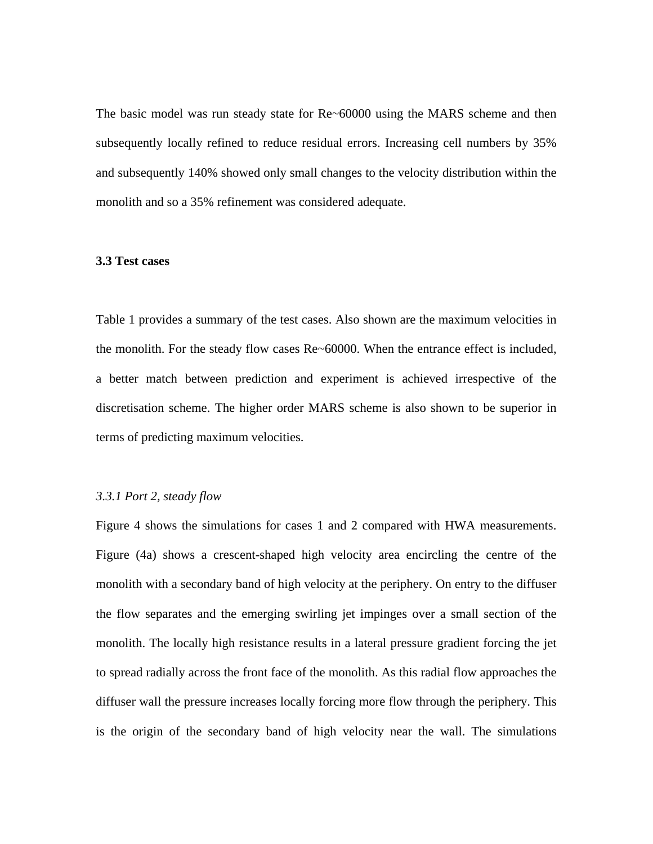The basic model was run steady state for Re~60000 using the MARS scheme and then subsequently locally refined to reduce residual errors. Increasing cell numbers by 35% and subsequently 140% showed only small changes to the velocity distribution within the monolith and so a 35% refinement was considered adequate.

#### **3.3 Test cases**

Table 1 provides a summary of the test cases. Also shown are the maximum velocities in the monolith. For the steady flow cases Re~60000. When the entrance effect is included, a better match between prediction and experiment is achieved irrespective of the discretisation scheme. The higher order MARS scheme is also shown to be superior in terms of predicting maximum velocities.

## *3.3.1 Port 2, steady flow*

Figure 4 shows the simulations for cases 1 and 2 compared with HWA measurements. Figure (4a) shows a crescent-shaped high velocity area encircling the centre of the monolith with a secondary band of high velocity at the periphery. On entry to the diffuser the flow separates and the emerging swirling jet impinges over a small section of the monolith. The locally high resistance results in a lateral pressure gradient forcing the jet to spread radially across the front face of the monolith. As this radial flow approaches the diffuser wall the pressure increases locally forcing more flow through the periphery. This is the origin of the secondary band of high velocity near the wall. The simulations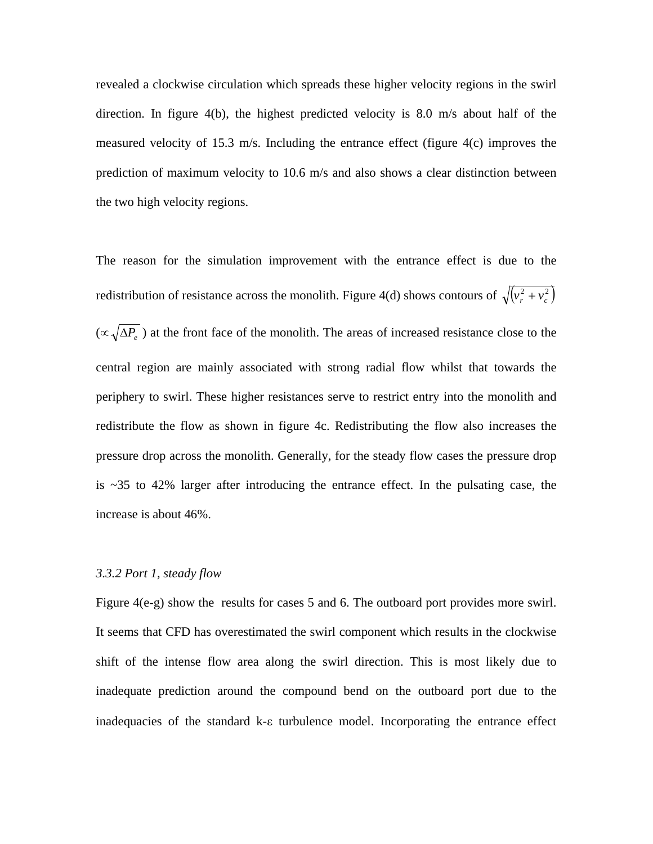revealed a clockwise circulation which spreads these higher velocity regions in the swirl direction. In figure 4(b), the highest predicted velocity is 8.0 m/s about half of the measured velocity of 15.3 m/s. Including the entrance effect (figure 4(c) improves the prediction of maximum velocity to 10.6 m/s and also shows a clear distinction between the two high velocity regions.

The reason for the simulation improvement with the entrance effect is due to the redistribution of resistance across the monolith. Figure 4(d) shows contours of  $\sqrt{(v_r^2 + v_c^2)}$ (∝ ∆*Pe* ) at the front face of the monolith. The areas of increased resistance close to the central region are mainly associated with strong radial flow whilst that towards the periphery to swirl. These higher resistances serve to restrict entry into the monolith and redistribute the flow as shown in figure 4c. Redistributing the flow also increases the pressure drop across the monolith. Generally, for the steady flow cases the pressure drop is  $\approx$  35 to 42% larger after introducing the entrance effect. In the pulsating case, the increase is about 46%.

#### *3.3.2 Port 1, steady flow*

Figure 4(e-g) show the results for cases 5 and 6. The outboard port provides more swirl. It seems that CFD has overestimated the swirl component which results in the clockwise shift of the intense flow area along the swirl direction. This is most likely due to inadequate prediction around the compound bend on the outboard port due to the inadequacies of the standard k-ε turbulence model. Incorporating the entrance effect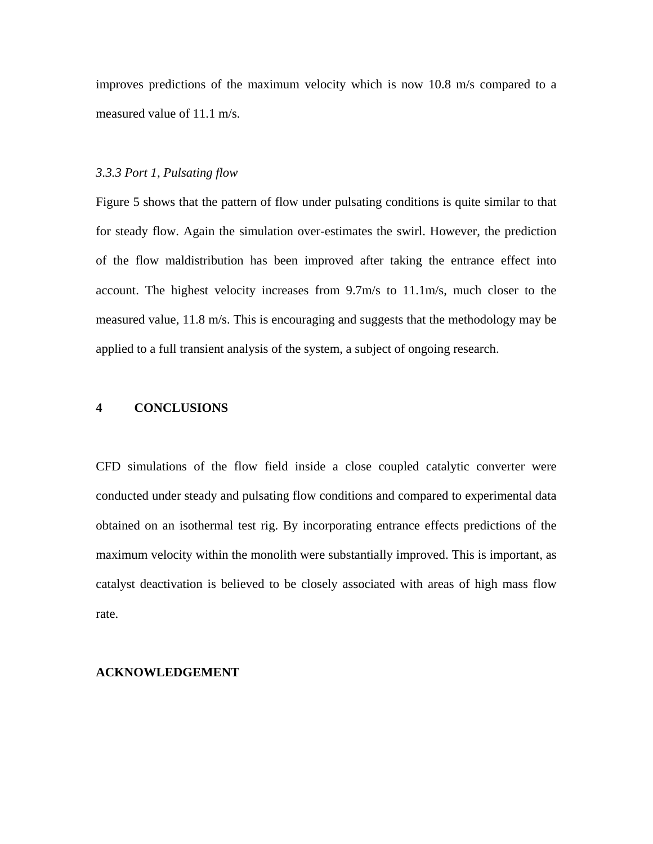improves predictions of the maximum velocity which is now 10.8 m/s compared to a measured value of 11.1 m/s.

#### *3.3.3 Port 1, Pulsating flow*

Figure 5 shows that the pattern of flow under pulsating conditions is quite similar to that for steady flow. Again the simulation over-estimates the swirl. However, the prediction of the flow maldistribution has been improved after taking the entrance effect into account. The highest velocity increases from 9.7m/s to 11.1m/s, much closer to the measured value, 11.8 m/s. This is encouraging and suggests that the methodology may be applied to a full transient analysis of the system, a subject of ongoing research.

#### **4 CONCLUSIONS**

CFD simulations of the flow field inside a close coupled catalytic converter were conducted under steady and pulsating flow conditions and compared to experimental data obtained on an isothermal test rig. By incorporating entrance effects predictions of the maximum velocity within the monolith were substantially improved. This is important, as catalyst deactivation is believed to be closely associated with areas of high mass flow rate.

#### **ACKNOWLEDGEMENT**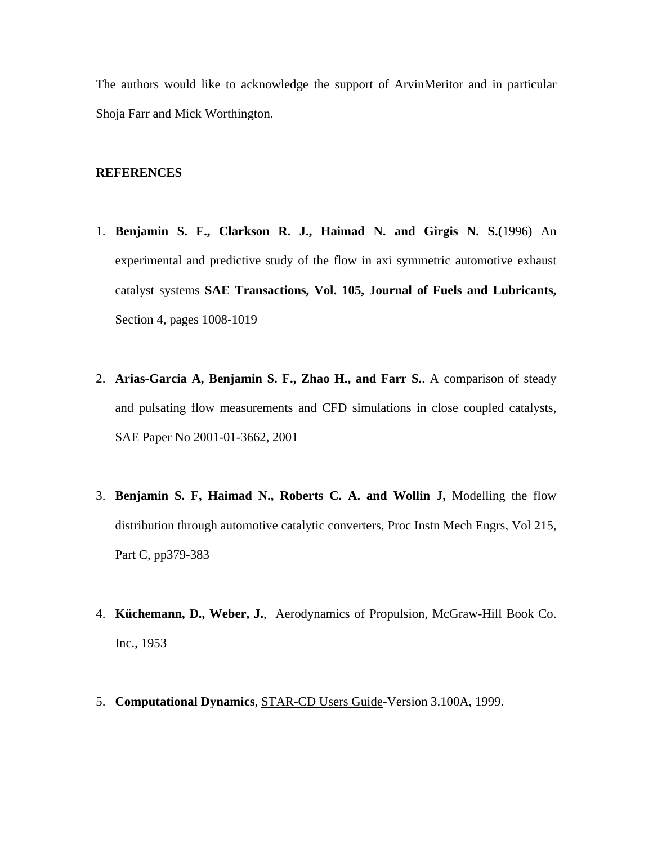The authors would like to acknowledge the support of ArvinMeritor and in particular Shoja Farr and Mick Worthington.

#### **REFERENCES**

- 1. **Benjamin S. F., Clarkson R. J., Haimad N. and Girgis N. S.(**1996) An experimental and predictive study of the flow in axi symmetric automotive exhaust catalyst systems **SAE Transactions, Vol. 105, Journal of Fuels and Lubricants,**  Section 4, pages 1008-1019
- 2. **Arias-Garcia A, Benjamin S. F., Zhao H., and Farr S.**. A comparison of steady and pulsating flow measurements and CFD simulations in close coupled catalysts, SAE Paper No 2001-01-3662, 2001
- 3. **Benjamin S. F, Haimad N., Roberts C. A. and Wollin J,** Modelling the flow distribution through automotive catalytic converters, Proc Instn Mech Engrs, Vol 215, Part C, pp379-383
- 4. **Küchemann, D., Weber, J.**, Aerodynamics of Propulsion, McGraw-Hill Book Co. Inc., 1953
- 5. **Computational Dynamics**, STAR-CD Users Guide-Version 3.100A, 1999.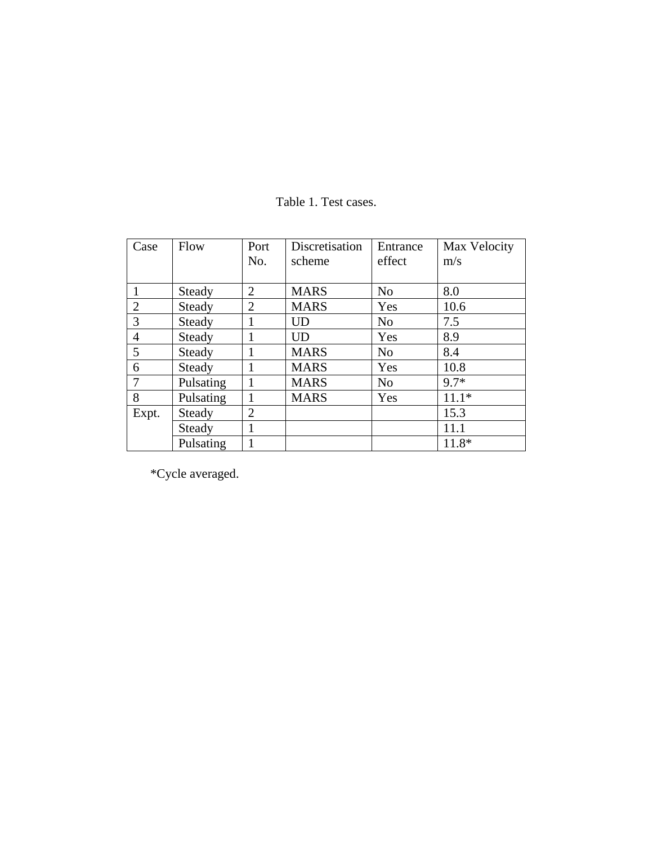| Case           | Flow      | Port           | Discretisation | Entrance       | Max Velocity |
|----------------|-----------|----------------|----------------|----------------|--------------|
|                |           | No.            | scheme         | effect         | m/s          |
|                |           |                |                |                |              |
|                | Steady    | $\overline{2}$ | <b>MARS</b>    | N <sub>0</sub> | 8.0          |
| $\overline{2}$ | Steady    | 2              | <b>MARS</b>    | Yes            | 10.6         |
| $\overline{3}$ | Steady    |                | <b>UD</b>      | N <sub>0</sub> | 7.5          |
| $\overline{4}$ | Steady    |                | UD             | Yes            | 8.9          |
| 5              | Steady    |                | <b>MARS</b>    | N <sub>o</sub> | 8.4          |
| 6              | Steady    |                | <b>MARS</b>    | Yes            | 10.8         |
| $\overline{7}$ | Pulsating |                | <b>MARS</b>    | N <sub>o</sub> | $9.7*$       |
| 8              | Pulsating |                | <b>MARS</b>    | Yes            | $11.1*$      |
| Expt.          | Steady    | $\overline{2}$ |                |                | 15.3         |
|                | Steady    | 1              |                |                | 11.1         |
|                | Pulsating |                |                |                | 11.8*        |

## Table 1. Test cases.

\*Cycle averaged.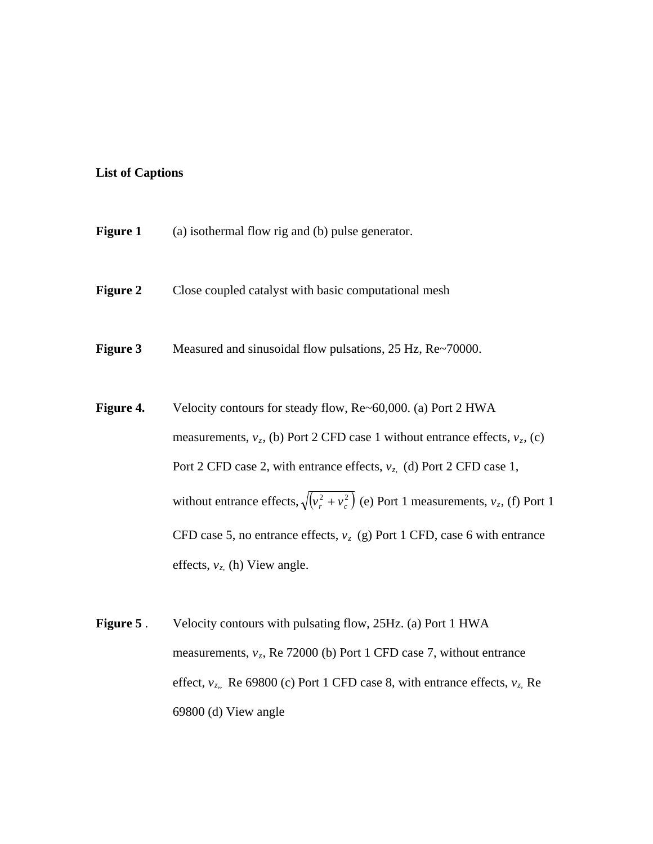#### **List of Captions**

| <b>Figure 1</b><br>(a) isothermal flow rig and (b) pulse generator. |
|---------------------------------------------------------------------|
|---------------------------------------------------------------------|

- **Figure 2** Close coupled catalyst with basic computational mesh
- **Figure 3** Measured and sinusoidal flow pulsations, 25 Hz, Re~70000.
- **Figure 4.** Velocity contours for steady flow, Re~60,000. (a) Port 2 HWA measurements,  $v_z$ , (b) Port 2 CFD case 1 without entrance effects,  $v_z$ , (c) Port 2 CFD case 2, with entrance effects,  $v_z$  (d) Port 2 CFD case 1, without entrance effects,  $\sqrt{(v_r^2 + v_c^2)}$  (e) Port 1 measurements,  $v_z$ , (f) Port 1 CFD case 5, no entrance effects,  $v_z$  (g) Port 1 CFD, case 6 with entrance effects,  $v_z$ , (h) View angle.
- **Figure 5** . Velocity contours with pulsating flow, 25Hz. (a) Port 1 HWA measurements,  $v_z$ , Re 72000 (b) Port 1 CFD case 7, without entrance effect,  $v_{z}$ , Re 69800 (c) Port 1 CFD case 8, with entrance effects,  $v_{z}$ , Re 69800 (d) View angle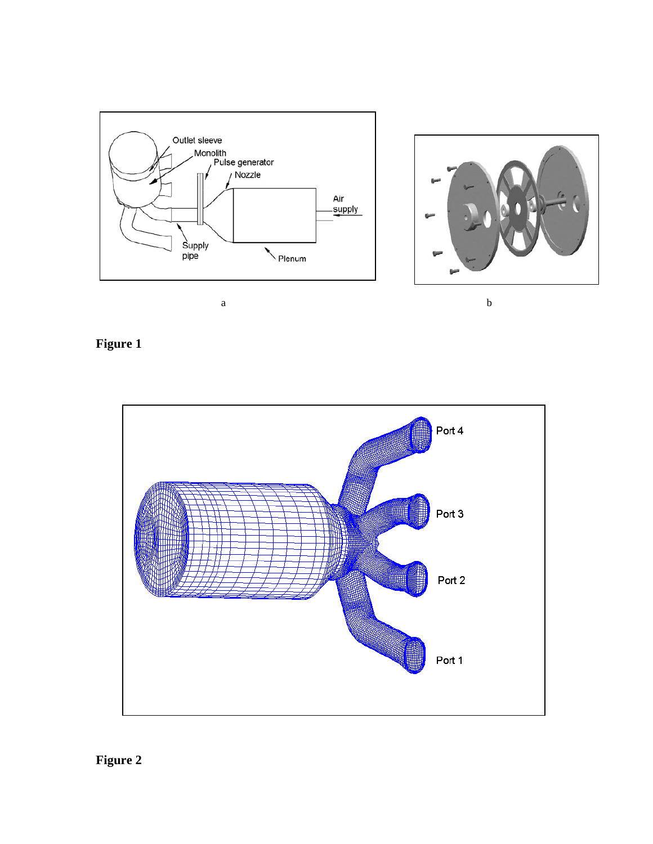



**Figure 1**

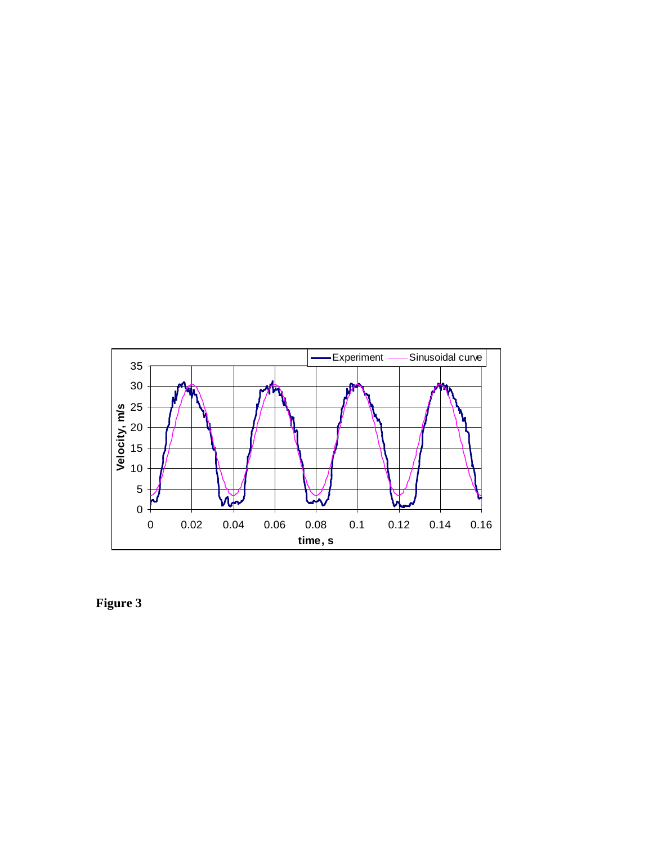

**Figure 3**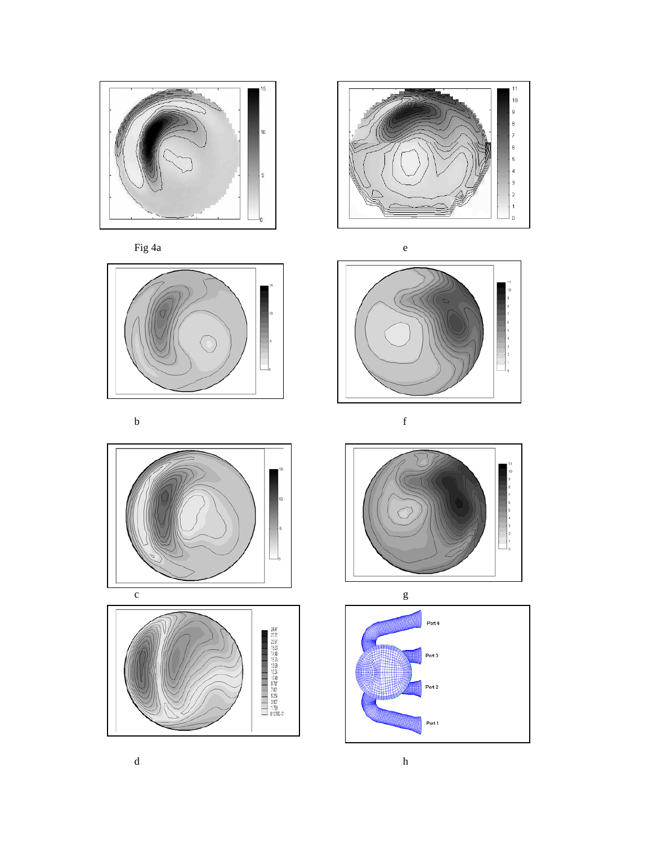











b f